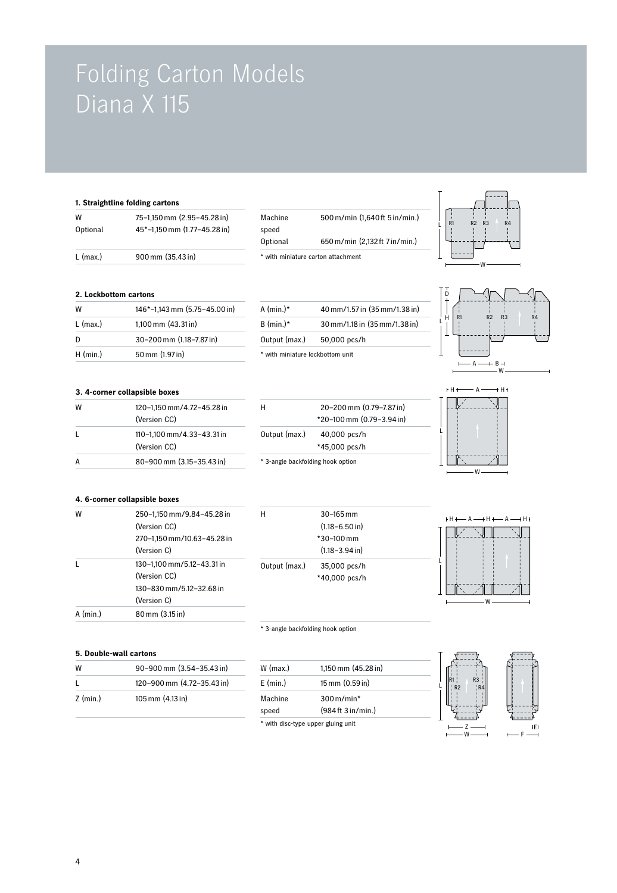# Folding Carton Models Diana X 115

W 146\*–1,143mm (5.75–45.00in) A (min.)\* 40mm/1.57 in (35mm/1.38in) L (max.) 1,100 mm (43.31 in) B (min.)\* 30 mm/1.18 in (35 mm/1.38 in)

H

Output (max.)

## **1. Straightline folding cartons**

| $L$ (max.) | $900 \,\mathrm{mm}$ (35.43 in) |                   | * with miniature carton attachment |
|------------|--------------------------------|-------------------|------------------------------------|
| Optional   | 45*-1.150 mm (1.77-45.28 in)   | speed<br>Optional | 650 m/min                          |
| w          | 75-1,150 mm (2.95-45.28 in)    | Machine           | $500 \,\mathrm{m/min}$             |

| Machine  | 500 m/min (1,640 ft 5 in/min.)     |
|----------|------------------------------------|
| speed    |                                    |
| Optional | 650 m/min (2,132 ft 7 in/min.)     |
|          | * with miniature carton attachment |



## D H R1 R2 R3 R4 L  $\perp$  $A \longrightarrow B -$ <br>W

## **3. 4-corner collapsible boxes**

**2. Lockbottom cartons**

| w  | 120-1,150 mm/4.72-45.28 in<br>(Version CC) |
|----|--------------------------------------------|
| I. | 110-1.100 mm/4.33-43.31 in<br>(Version CC) |
| А  | 80-900 mm (3.15-35.43 in)                  |

| D          | 30-200 mm (1.18-7.87 in)      | Output (max.)<br>50,000 pcs/h    |  |
|------------|-------------------------------|----------------------------------|--|
| $H$ (min.) | 50 mm (1.97 in)               | * with miniature lockbottom unit |  |
|            | 3. 4-corner collapsible boxes |                                  |  |
| W          | 120-1,150 mm/4.72-45.28 in    | 20-200 mm (0.79-7.87 in)<br>Н    |  |





L

 $\begin{bmatrix} 1 \\ 1 \end{bmatrix}$   $\begin{bmatrix} R1 \\ 1 \end{bmatrix}$ R2 R3

### **4. 6-corner collapsible boxes**

**5. Double-wall cartons**

 $Z$  (min.) 105 mm (4.13 in)

| w        | 250-1,150 mm/9.84-45.28 in<br>(Version CC)<br>270-1,150 mm/10.63-45.28 in<br>(Version C) |
|----------|------------------------------------------------------------------------------------------|
|          | 130-1,100 mm/5.12-43.31 in<br>(Version CC)<br>130-830 mm/5 12-32 68 in<br>(Version C)    |
| A (min.) | 80 mm (3.15 in)                                                                          |

W 90–900 mm (3.54–35.43 in) L 120–900 mm (4.72–35.43 in)

## \* 3-angle backfolding hook option

| $W$ (max.)         | 1,150 mm $(45.28 \text{ in})$ |
|--------------------|-------------------------------|
| $E \text{ (min.)}$ | 15 mm (0.59 in)               |
| Machine            | $300 \,\mathrm{m/min}^*$      |
| speed              | (984 ft 3 in/min.)            |

\* 30–100mm

(1.18–3.94in)

\* 40,000 pcs/h 35,000 pcs/h

30–165mm (1.18–6.50in)







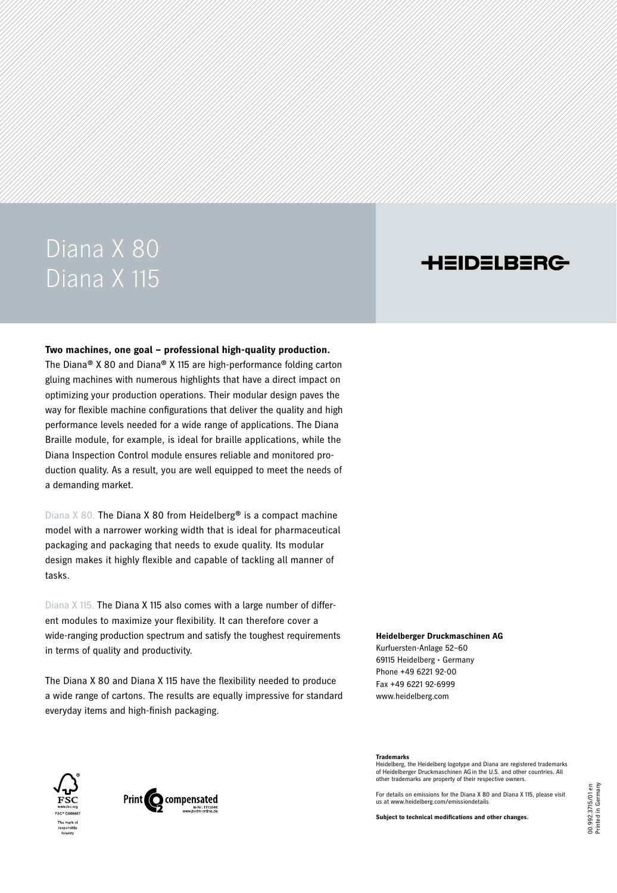## Diana X 80 Diana X 115

## **HEIDELBERG**

#### **Two machines, one goal – professional high-quality production.**

The Diana® X 80 and Diana® X 115 are high-performance folding carton gluing machines with numerous highlights that have a direct impact on optimizing your production operations. Their modular design paves the way for flexible machine configurations that deliver the quality and high performance levels needed for a wide range of applications. The Diana Braille module, for example, is ideal for braille applications, while the Diana Inspection Control module ensures reliable and monitored production quality. As a result, you are well equipped to meet the needs of a demanding market.

Diana  $X$  80. The Diana X 80 from Heidelberg<sup>®</sup> is a compact machine model with a narrower working width that is ideal for pharmaceutical packaging and packaging that needs to exude quality. Its modular design makes it highly flexible and capable of tackling all manner of tasks.

Diana X 115. The Diana X 115 also comes with a large number of different modules to maximize your flexibility. It can therefore cover a wide-ranging production spectrum and satisfy the toughest requirements in terms of quality and productivity.

The Diana X 80 and Diana X 115 have the flexibility needed to produce a wide range of cartons. The results are equally impressive for standard everyday items and high-finish packaging.

#### **Heidelberger Druckmaschinen AG**

Kurfuersten-Anlage 52–60 69115 Heidelberg • Germany Phone +49 6221 92-00 Fax +49 6221 92-6999 www.heidelberg.com





#### **Trademarks**

Heidelberg, the Heidelberg logotype and Diana are registered trademarks of Heidelberger Druckmaschinen AGin the U.S. and other countries. All other trademarks are property of their respective owners.

For details on emissions for the Diana X 80 and Diana X 115, please visit us at www.heidelberg.com/emissiondetails

**Subject to technical modifications and other changes.**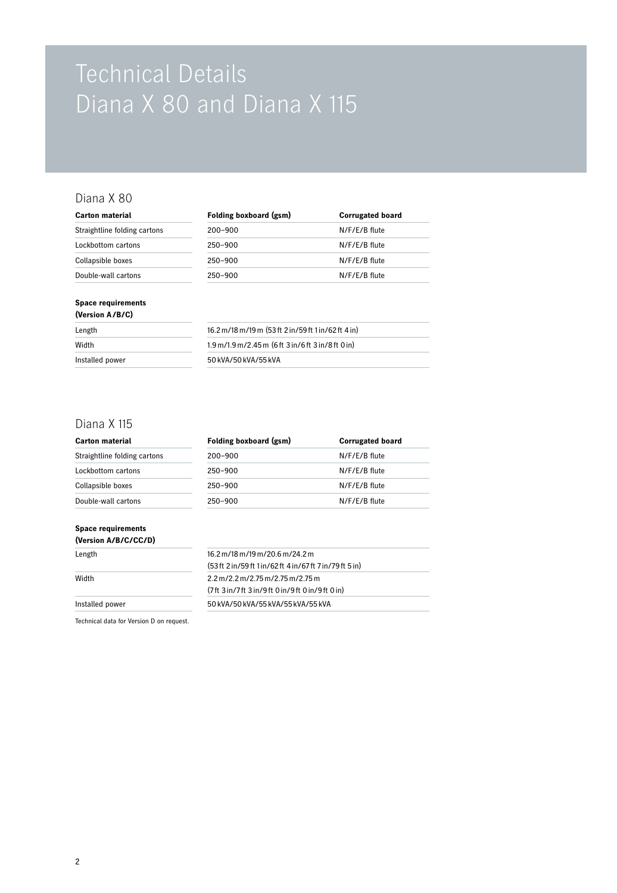# Technical Details Diana X 80 and Diana X 115

### Diana X 80

| Carton material              | Folding boxboard (gsm)<br><b>Corrugated board</b> |               |  |
|------------------------------|---------------------------------------------------|---------------|--|
| Straightline folding cartons | $200 - 900$                                       | N/F/E/B flute |  |
| Lockbottom cartons           | $250 - 900$                                       | N/F/E/B flute |  |
| Collapsible boxes            | $250 - 900$                                       | N/F/E/B flute |  |
| Double-wall cartons          | $250 - 900$                                       | N/F/E/B flute |  |
|                              |                                                   |               |  |

#### **Space requirements (Version A/B/C)**

| Length          | 16.2 m/18 m/19 m (53 ft 2 in/59 ft 1 in/62 ft 4 in)                                   |
|-----------------|---------------------------------------------------------------------------------------|
| Width           | $1.9 \,\mathrm{m}/1.9 \,\mathrm{m}/2.45 \,\mathrm{m}$ (6 ft 3 in/6 ft 3 in/8 ft 0 in) |
| Installed power | 50 kVA/50 kVA/55 kVA                                                                  |
|                 |                                                                                       |

### Diana X 115

**Space requirements** 

| <b>Carton material</b>       | Folding boxboard (gsm) | <b>Corrugated board</b> |  |
|------------------------------|------------------------|-------------------------|--|
| Straightline folding cartons | $200 - 900$            | N/F/E/B flute           |  |
| Lockbottom cartons           | $250 - 900$            | N/F/E/B flute           |  |
| Collapsible boxes            | $250 - 900$            | N/F/E/B flute           |  |
| Double-wall cartons          | $250 - 900$            | N/F/E/B flute           |  |

| (Version A/B/C/CC/D) |                                                                         |
|----------------------|-------------------------------------------------------------------------|
| Length               | $16.2 \,\mathrm{m}$ /18 m/19 m/20.6 m/24.2 m                            |
|                      | (53 ft 2 in/59 ft 1 in/62 ft 4 in/67 ft 7 in/79 ft 5 in)                |
| Width                | $2.2 \,\mathrm{m}/2.2 \,\mathrm{m}/2.75 \,\mathrm{m}/2.75 \,\mathrm{m}$ |
|                      | (7ft 3in/7ft 3in/9ft 0in/9ft 0in/9ft 0in)                               |
| Installed power      | 50 kVA/50 kVA/55 kVA/55 kVA/55 kVA                                      |

Technical data for Version D on request.